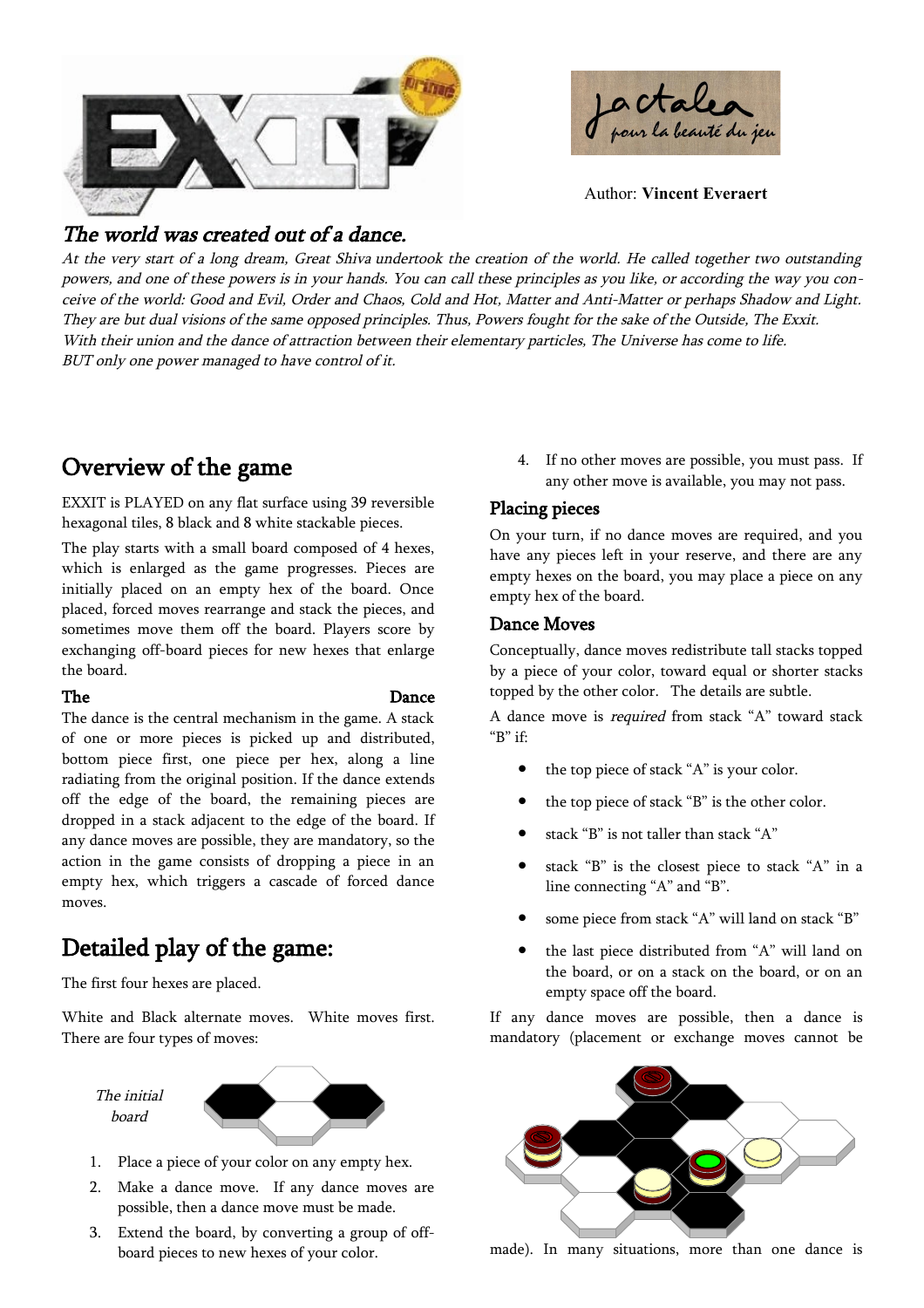



Author: **Vincent Everaert**

## The world was created out of a dance.

At the very start of <sup>a</sup> long dream, Great Shiva undertook the creation of the world. He called together two outstanding powers, and one of these powers is in your hands. You can call these principles as you like, or according the way you conceive of the world: Good and Evil, Order and Chaos, Cold and Hot, Matter and Anti-Matter or perhaps Shadow and Light. They are but dual visions of the same opposed principles. Thus, Powers fought for the sake of the Outside, The Exxit. With their union and the dance of attraction between their elementary particles, The Universe has come to life. BUT only one power managed to have control of it.

# Overview of the game

EXXIT is PLAYED on any flat surface using 39 reversible hexagonal tiles, 8 black and 8 white stackable pieces.

The play starts with a small board composed of 4 hexes, which is enlarged as the game progresses. Pieces are initially placed on an empty hex of the board. Once placed, forced moves rearrange and stack the pieces, and sometimes move them off the board. Players score by exchanging off-board pieces for new hexes that enlarge the board.

#### The Dance

The dance is the central mechanism in the game. A stack of one or more pieces is picked up and distributed, bottom piece first, one piece per hex, along a line radiating from the original position. If the dance extends off the edge of the board, the remaining pieces are dropped in a stack adjacent to the edge of the board. If any dance moves are possible, they are mandatory, so the action in the game consists of dropping a piece in an empty hex, which triggers a cascade of forced dance moves.

# Detailed play of the game:

The first four hexes are placed.

White and Black alternate moves. White moves first. There are four types of moves:

The initial board



- 1. Place a piece of your color on any empty hex.
- 2. Make a dance move. If any dance moves are possible, then a dance move must be made.
- 3. Extend the board, by converting a group of offboard pieces to new hexes of your color.

4. If no other moves are possible, you must pass. If any other move is available, you may not pass.

#### Placing pieces

On your turn, if no dance moves are required, and you have any pieces left in your reserve, and there are any empty hexes on the board, you may place a piece on any empty hex of the board.

#### Dance Moves

Conceptually, dance moves redistribute tall stacks topped by a piece of your color, toward equal or shorter stacks topped by the other color. The details are subtle.

A dance move is required from stack "A" toward stack "B" if:

- the top piece of stack "A" is your color.
- the top piece of stack "B" is the other color.
- stack " $B$ " is not taller than stack " $A$ "
- stack "B" is the closest piece to stack "A" in a line connecting "A" and "B".
- some piece from stack "A" will land on stack "B"
- the last piece distributed from "A" will land on the board, or on a stack on the board, or on an empty space off the board.

If any dance moves are possible, then a dance is mandatory (placement or exchange moves cannot be



made). In many situations, more than one dance is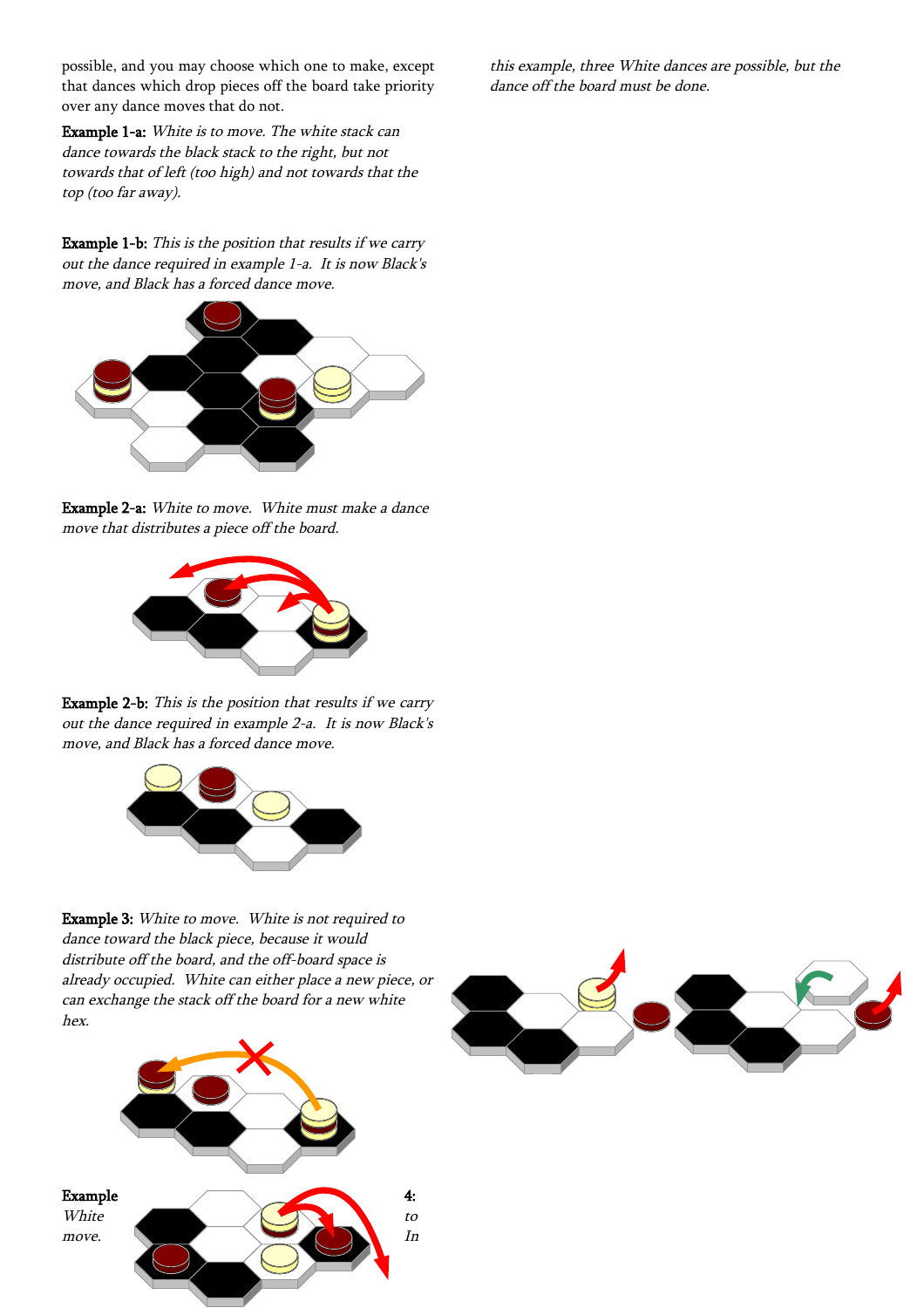possible, and you may choose which one to make, except that dances which drop pieces off the board take priority over any dance moves that do not.

Example 1-a: White is to move. The white stack can dance towards the black stack to the right, but not towards that of left (too high) and not towards that the top (too far away).

Example 1-b: This is the position that results if we carry out the dance required in example 1-a. It is now Black's move, and Black has a forced dance move.



Example 2-a: White to move. White must make a dance move that distributes a piece off the board.



Example 2-b: This is the position that results if we carry out the dance required in example 2-a. It is now Black's move, and Black has a forced dance move.



Example 3: White to move. White is not required to dance toward the black piece, because it would distribute off the board, and the off-board space is already occupied. White can either place a new piece, or can exchange the stack off the board for a new white hex.



this example, three White dances are possible, but the dance off the board must be done.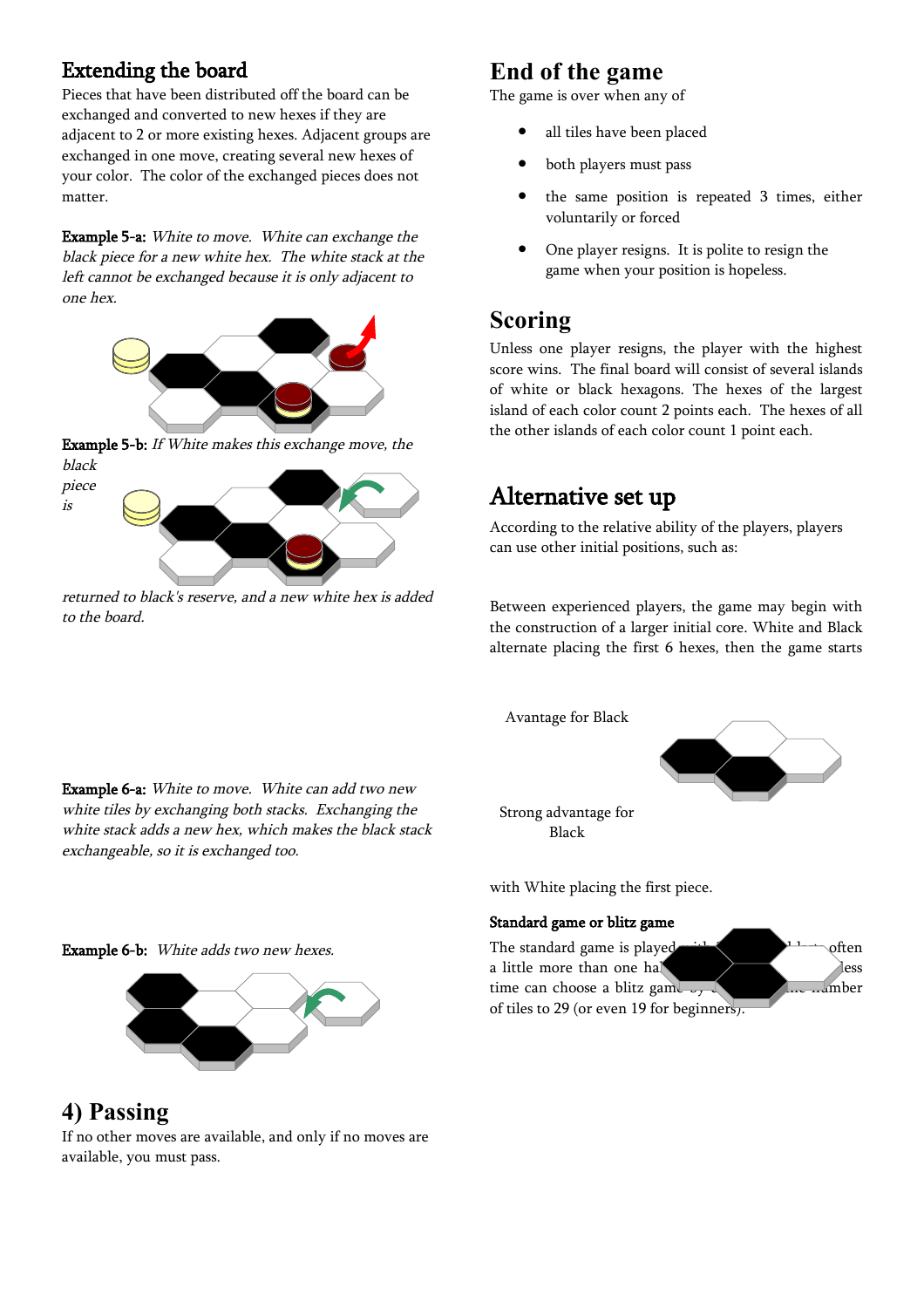## Extending the board

Pieces that have been distributed off the board can be exchanged and converted to new hexes if they are adjacent to 2 or more existing hexes. Adjacent groups are exchanged in one move, creating several new hexes of your color. The color of the exchanged pieces does not matter.

Example 5-a: White to move. White can exchange the black piece for a new white hex. The white stack at the left cannot be exchanged because it is only adjacent to one hex.



Example 5-b: If White makes this exchange move, the black



returned to black's reserve, and a new white hex is added to the board.

Example 6-a: White to move. White can add two new white tiles by exchanging both stacks. Exchanging the white stack adds a new hex, which makes the black stack

# **End of the game**

The game is over when any of

- all tiles have been placed
- both players must pass
- the same position is repeated 3 times, either voluntarily or forced
- One player resigns. It is polite to resign the game when your position is hopeless.

# **Scoring**

Unless one player resigns, the player with the highest score wins. The final board will consist of several islands of white or black hexagons. The hexes of the largest island of each color count 2 points each. The hexes of all the other islands of each color count 1 point each.

# Alternative set up

According to the relative ability of the players, players can use other initial positions, such as:

Between experienced players, the game may begin with the construction of a larger initial core. White and Black alternate placing the first 6 hexes, then the game starts

Avantage for Black



Strong advantage for Black

with White placing the first piece.

### Standard game or blitz game

The standard game is played  $\blacksquare$ <sup>11</sup> often a little more than one half and  $\rangle$  hess time can choose a blitz game  $\frac{1}{2}$  decreasing the number of tiles to 29 (or even 19 for beginners).

Example 6-b: White adds two new hexes.

exchangeable, so it is exchanged too.



**4) Passing** If no other moves are available, and only if no moves are available, you must pass.